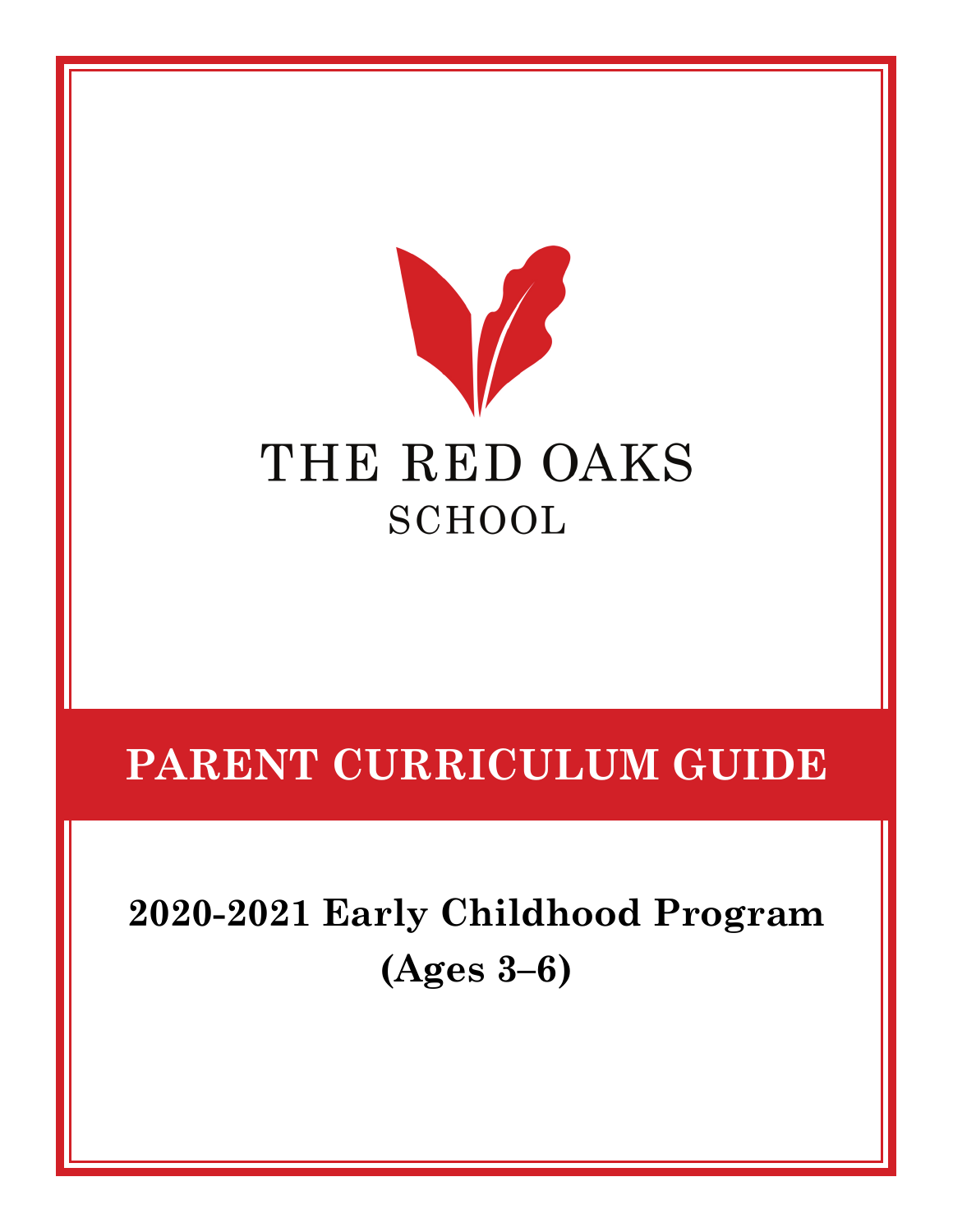

# **PARENT CURRICULUM GUIDE**

**2020-2021 Early Childhood Program (Ages 3–6)**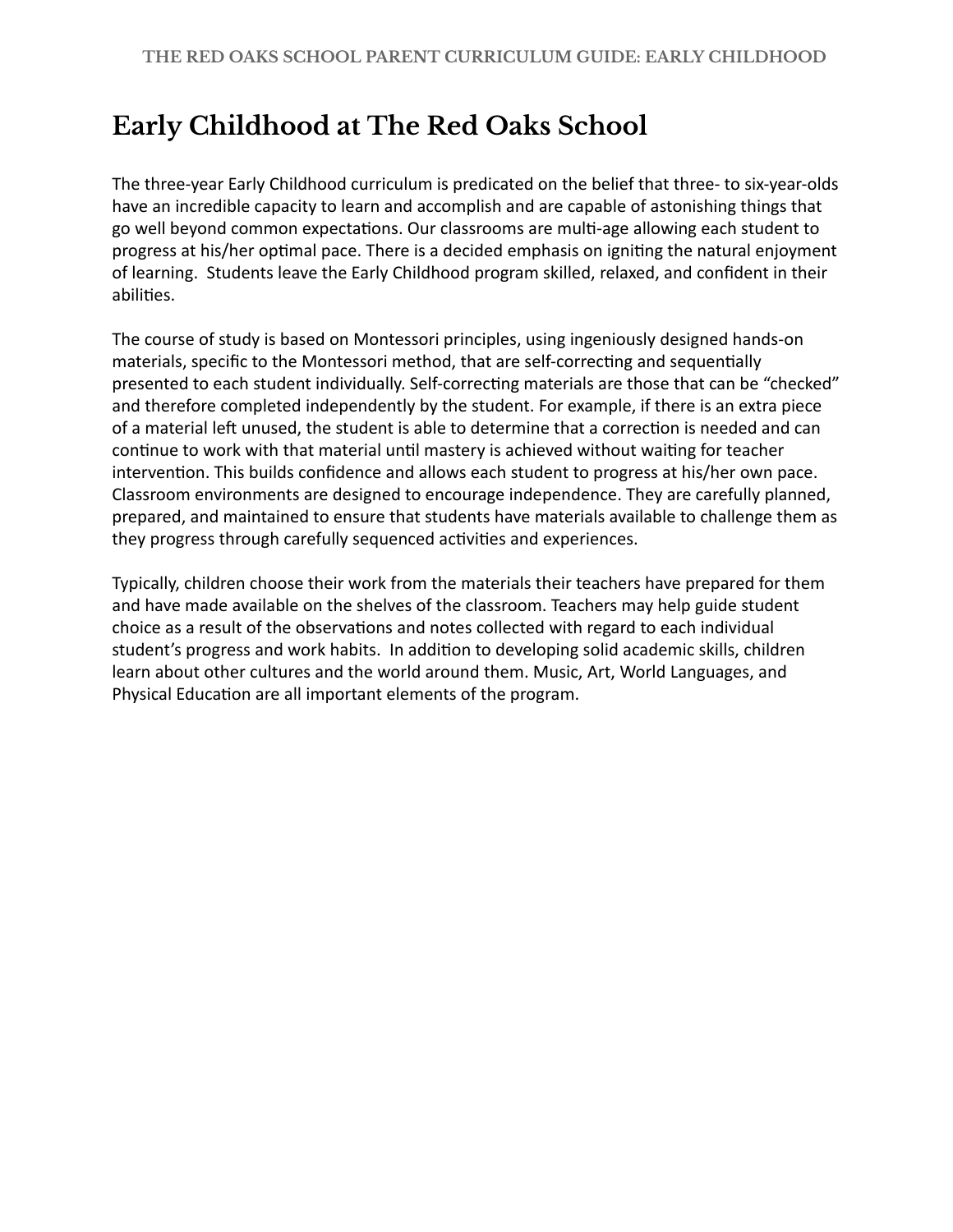## **Early Childhood at The Red Oaks School**

The three-year Early Childhood curriculum is predicated on the belief that three- to six-year-olds have an incredible capacity to learn and accomplish and are capable of astonishing things that go well beyond common expectations. Our classrooms are multi-age allowing each student to progress at his/her optimal pace. There is a decided emphasis on igniting the natural enjoyment of learning. Students leave the Early Childhood program skilled, relaxed, and confident in their abilities.

The course of study is based on Montessori principles, using ingeniously designed hands-on materials, specific to the Montessori method, that are self-correcting and sequentially presented to each student individually. Self-correcting materials are those that can be "checked" and therefore completed independently by the student. For example, if there is an extra piece of a material left unused, the student is able to determine that a correction is needed and can continue to work with that material until mastery is achieved without waiting for teacher intervention. This builds confidence and allows each student to progress at his/her own pace. Classroom environments are designed to encourage independence. They are carefully planned, prepared, and maintained to ensure that students have materials available to challenge them as they progress through carefully sequenced activities and experiences.

Typically, children choose their work from the materials their teachers have prepared for them and have made available on the shelves of the classroom. Teachers may help guide student choice as a result of the observations and notes collected with regard to each individual student's progress and work habits. In addition to developing solid academic skills, children learn about other cultures and the world around them. Music, Art, World Languages, and Physical Education are all important elements of the program.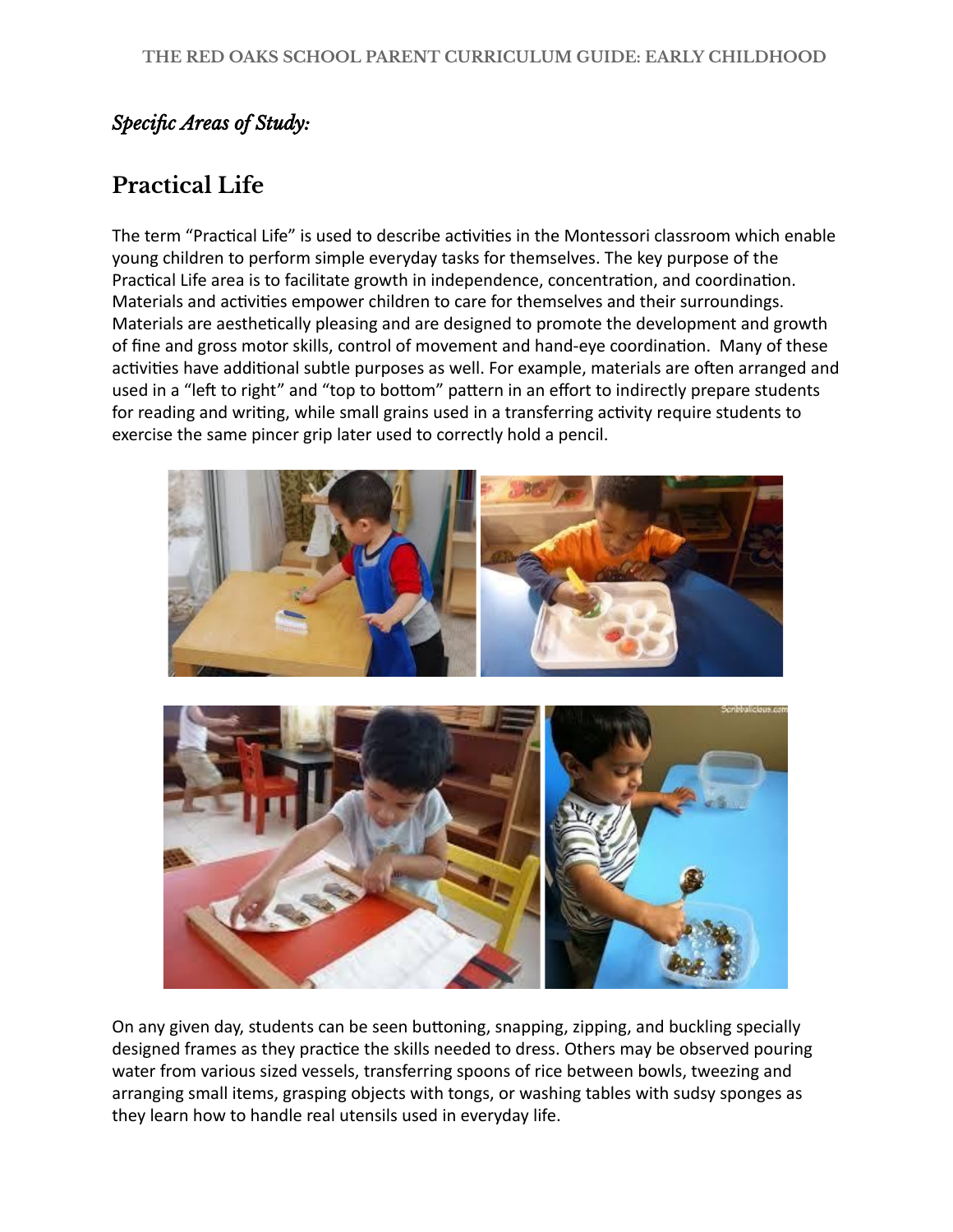#### *Specific Areas of Study:*

## **Practical Life**

The term "Practical Life" is used to describe activities in the Montessori classroom which enable young children to perform simple everyday tasks for themselves. The key purpose of the Practical Life area is to facilitate growth in independence, concentration, and coordination. Materials and activities empower children to care for themselves and their surroundings. Materials are aesthetically pleasing and are designed to promote the development and growth of fine and gross motor skills, control of movement and hand-eye coordination. Many of these activities have additional subtle purposes as well. For example, materials are often arranged and used in a "left to right" and "top to bottom" pattern in an effort to indirectly prepare students for reading and writing, while small grains used in a transferring activity require students to exercise the same pincer grip later used to correctly hold a pencil.



On any given day, students can be seen buttoning, snapping, zipping, and buckling specially designed frames as they practice the skills needed to dress. Others may be observed pouring water from various sized vessels, transferring spoons of rice between bowls, tweezing and arranging small items, grasping objects with tongs, or washing tables with sudsy sponges as they learn how to handle real utensils used in everyday life.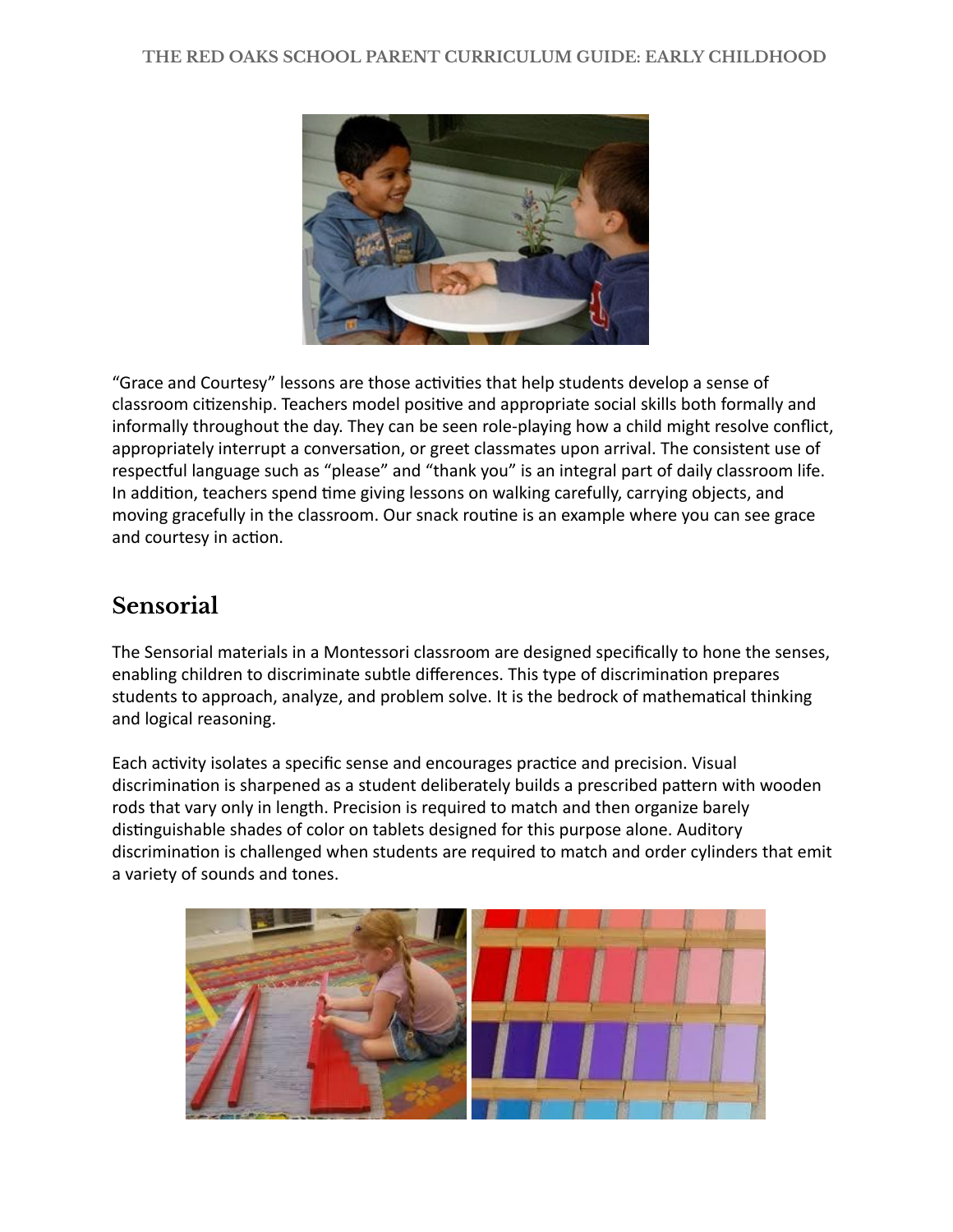

"Grace and Courtesy" lessons are those activities that help students develop a sense of classroom citizenship. Teachers model positive and appropriate social skills both formally and informally throughout the day. They can be seen role-playing how a child might resolve conflict, appropriately interrupt a conversation, or greet classmates upon arrival. The consistent use of respectful language such as "please" and "thank you" is an integral part of daily classroom life. In addition, teachers spend time giving lessons on walking carefully, carrying objects, and moving gracefully in the classroom. Our snack routine is an example where you can see grace and courtesy in action.

#### **Sensorial**

The Sensorial materials in a Montessori classroom are designed specifically to hone the senses, enabling children to discriminate subtle differences. This type of discrimination prepares students to approach, analyze, and problem solve. It is the bedrock of mathematical thinking and logical reasoning.

Each activity isolates a specific sense and encourages practice and precision. Visual discrimination is sharpened as a student deliberately builds a prescribed pattern with wooden rods that vary only in length. Precision is required to match and then organize barely distinguishable shades of color on tablets designed for this purpose alone. Auditory discrimination is challenged when students are required to match and order cylinders that emit a variety of sounds and tones.

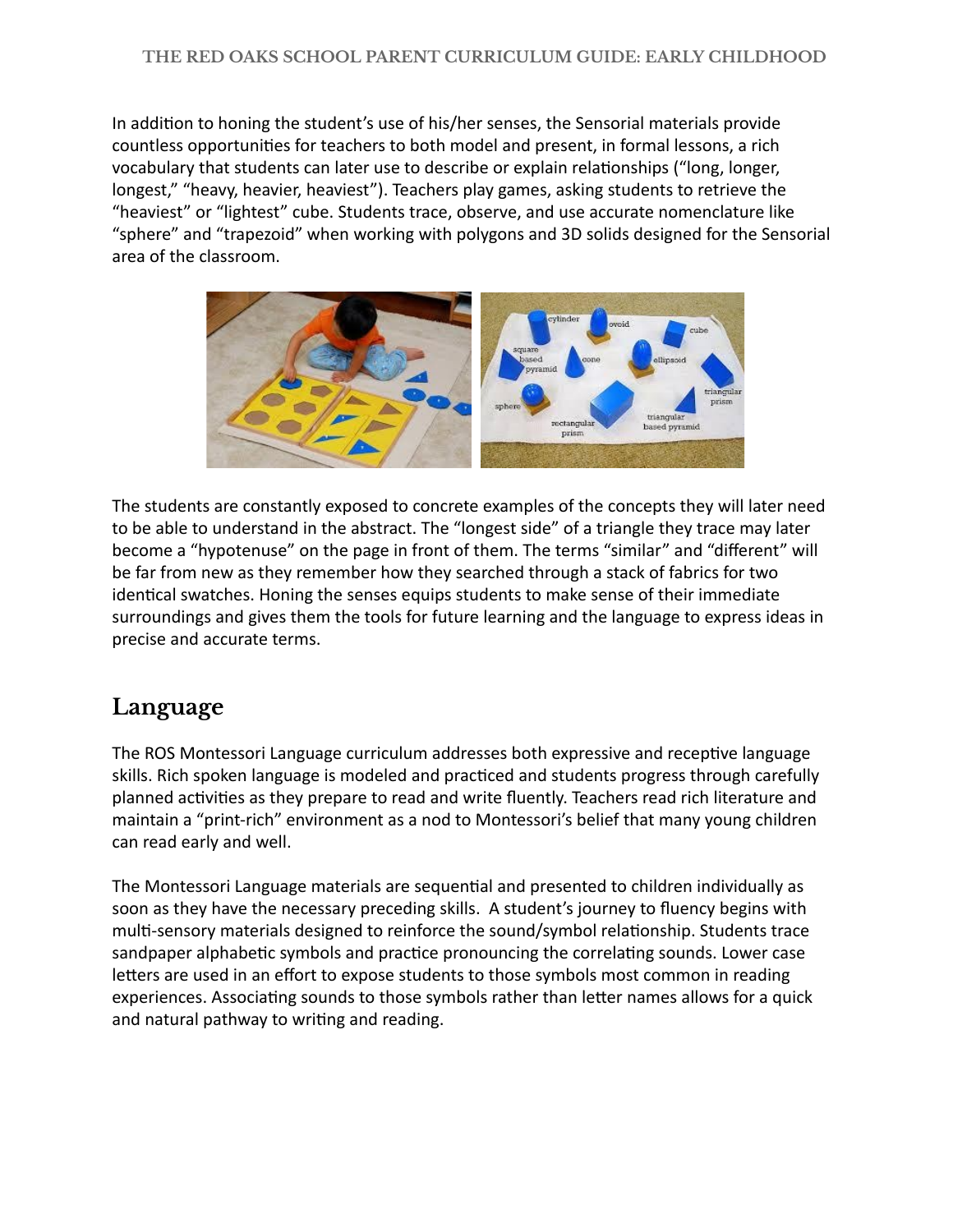In addition to honing the student's use of his/her senses, the Sensorial materials provide countless opportunities for teachers to both model and present, in formal lessons, a rich vocabulary that students can later use to describe or explain relationships ("long, longer, longest," "heavy, heavier, heaviest"). Teachers play games, asking students to retrieve the "heaviest" or "lightest" cube. Students trace, observe, and use accurate nomenclature like "sphere" and "trapezoid" when working with polygons and 3D solids designed for the Sensorial area of the classroom.



The students are constantly exposed to concrete examples of the concepts they will later need to be able to understand in the abstract. The "longest side" of a triangle they trace may later become a "hypotenuse" on the page in front of them. The terms "similar" and "different" will be far from new as they remember how they searched through a stack of fabrics for two identical swatches. Honing the senses equips students to make sense of their immediate surroundings and gives them the tools for future learning and the language to express ideas in precise and accurate terms.

## **Language**

The ROS Montessori Language curriculum addresses both expressive and receptive language skills. Rich spoken language is modeled and practiced and students progress through carefully planned activities as they prepare to read and write fluently. Teachers read rich literature and maintain a "print-rich" environment as a nod to Montessori's belief that many young children can read early and well.

The Montessori Language materials are sequential and presented to children individually as soon as they have the necessary preceding skills. A student's journey to fluency begins with multi-sensory materials designed to reinforce the sound/symbol relationship. Students trace sandpaper alphabetic symbols and practice pronouncing the correlating sounds. Lower case letters are used in an effort to expose students to those symbols most common in reading experiences. Associating sounds to those symbols rather than letter names allows for a quick and natural pathway to writing and reading.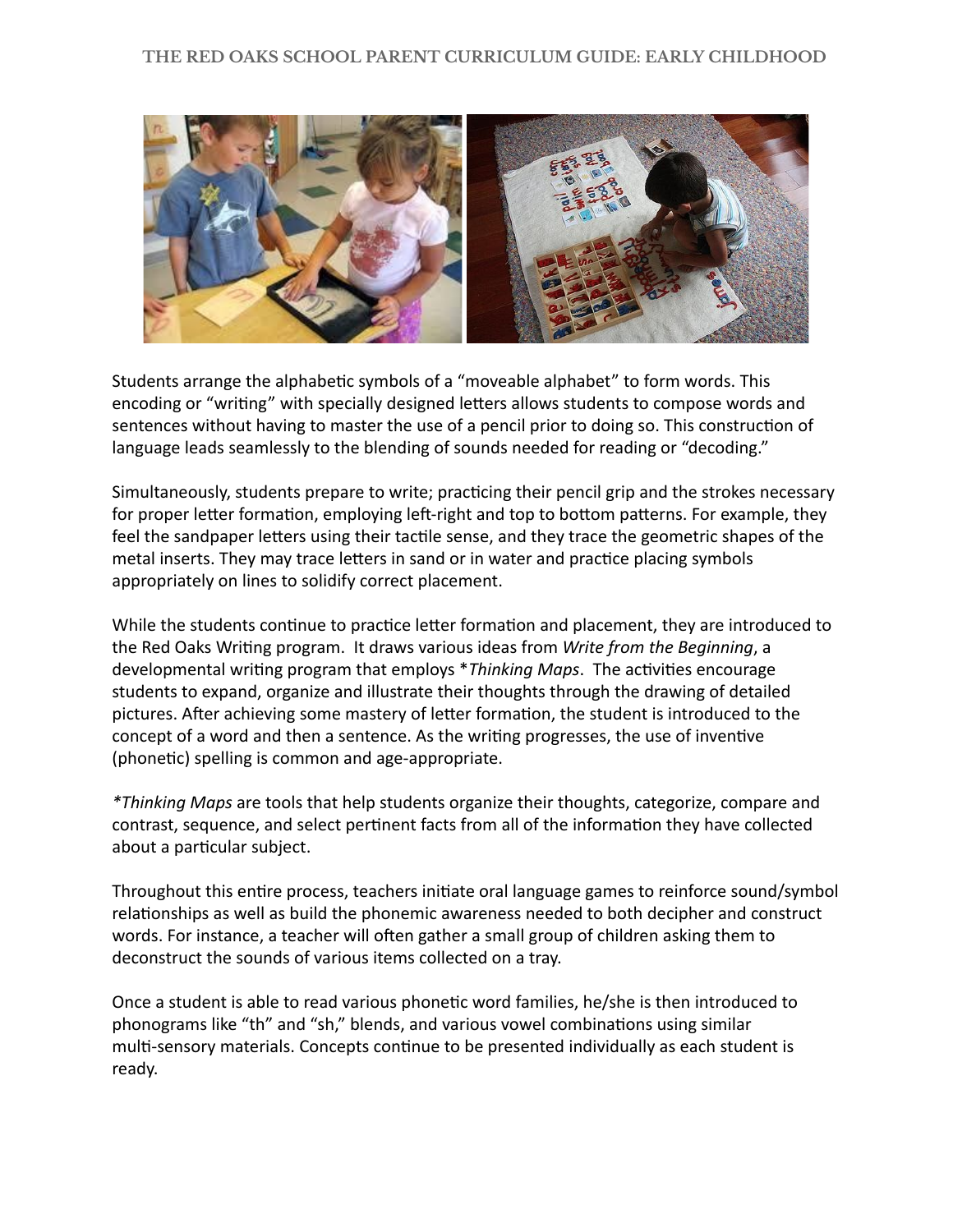

Students arrange the alphabetic symbols of a "moveable alphabet" to form words. This encoding or "writing" with specially designed letters allows students to compose words and sentences without having to master the use of a pencil prior to doing so. This construction of language leads seamlessly to the blending of sounds needed for reading or "decoding."

Simultaneously, students prepare to write; practicing their pencil grip and the strokes necessary for proper letter formation, employing left-right and top to bottom patterns. For example, they feel the sandpaper letters using their tactile sense, and they trace the geometric shapes of the metal inserts. They may trace letters in sand or in water and practice placing symbols appropriately on lines to solidify correct placement.

While the students continue to practice letter formation and placement, they are introduced to the Red Oaks Wring program. It draws various ideas from *Write from the Beginning* , a developmental writing program that employs \*Thinking Maps. The activities encourage students to expand, organize and illustrate their thoughts through the drawing of detailed pictures. After achieving some mastery of letter formation, the student is introduced to the concept of a word and then a sentence. As the writing progresses, the use of inventive (phonetic) spelling is common and age-appropriate.

*\*Thinking Maps* are tools that help students organize their thoughts, categorize, compare and contrast, sequence, and select pertinent facts from all of the information they have collected about a particular subject.

Throughout this entire process, teachers initiate oral language games to reinforce sound/symbol relationships as well as build the phonemic awareness needed to both decipher and construct words. For instance, a teacher will often gather a small group of children asking them to deconstruct the sounds of various items collected on a tray.

Once a student is able to read various phonetic word families, he/she is then introduced to phonograms like "th" and "sh," blends, and various vowel combinations using similar multi-sensory materials. Concepts continue to be presented individually as each student is ready.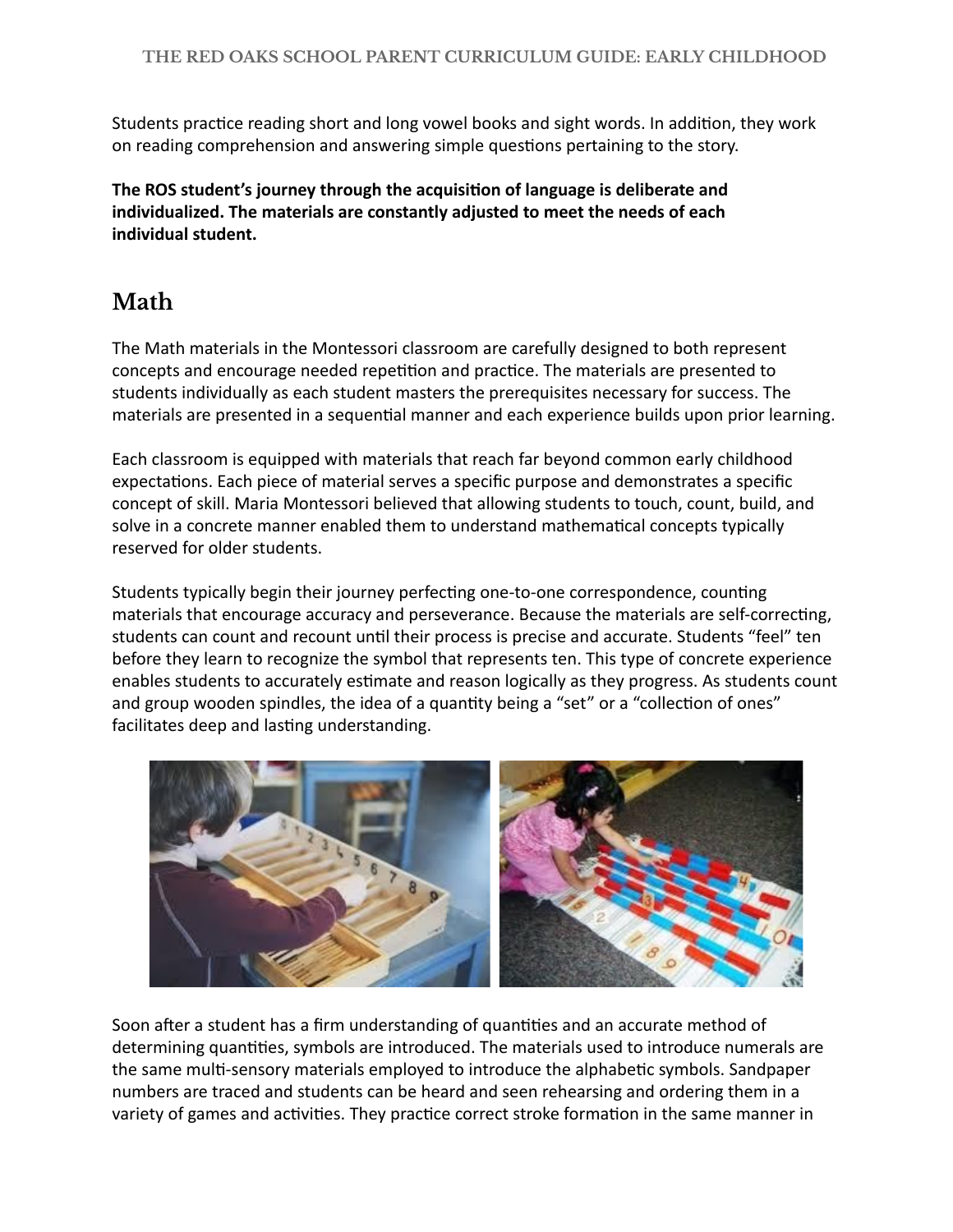Students practice reading short and long vowel books and sight words. In addition, they work on reading comprehension and answering simple questions pertaining to the story.

The ROS student's journey through the acquisition of language is deliberate and **individualized. The materials are constantly adjusted to meet the needs of each individual student.** 

## **Math**

The Math materials in the Montessori classroom are carefully designed to both represent concepts and encourage needed repetition and practice. The materials are presented to students individually as each student masters the prerequisites necessary for success. The materials are presented in a sequential manner and each experience builds upon prior learning.

Each classroom is equipped with materials that reach far beyond common early childhood expectations. Each piece of material serves a specific purpose and demonstrates a specific concept of skill. Maria Montessori believed that allowing students to touch, count, build, and solve in a concrete manner enabled them to understand mathematical concepts typically reserved for older students.

Students typically begin their journey perfecting one-to-one correspondence, counting materials that encourage accuracy and perseverance. Because the materials are self-correcting, students can count and recount until their process is precise and accurate. Students "feel" ten before they learn to recognize the symbol that represents ten. This type of concrete experience enables students to accurately estimate and reason logically as they progress. As students count and group wooden spindles, the idea of a quantity being a "set" or a "collection of ones" facilitates deep and lasting understanding.



Soon after a student has a firm understanding of quantities and an accurate method of determining quantities, symbols are introduced. The materials used to introduce numerals are the same multi-sensory materials employed to introduce the alphabetic symbols. Sandpaper numbers are traced and students can be heard and seen rehearsing and ordering them in a variety of games and activities. They practice correct stroke formation in the same manner in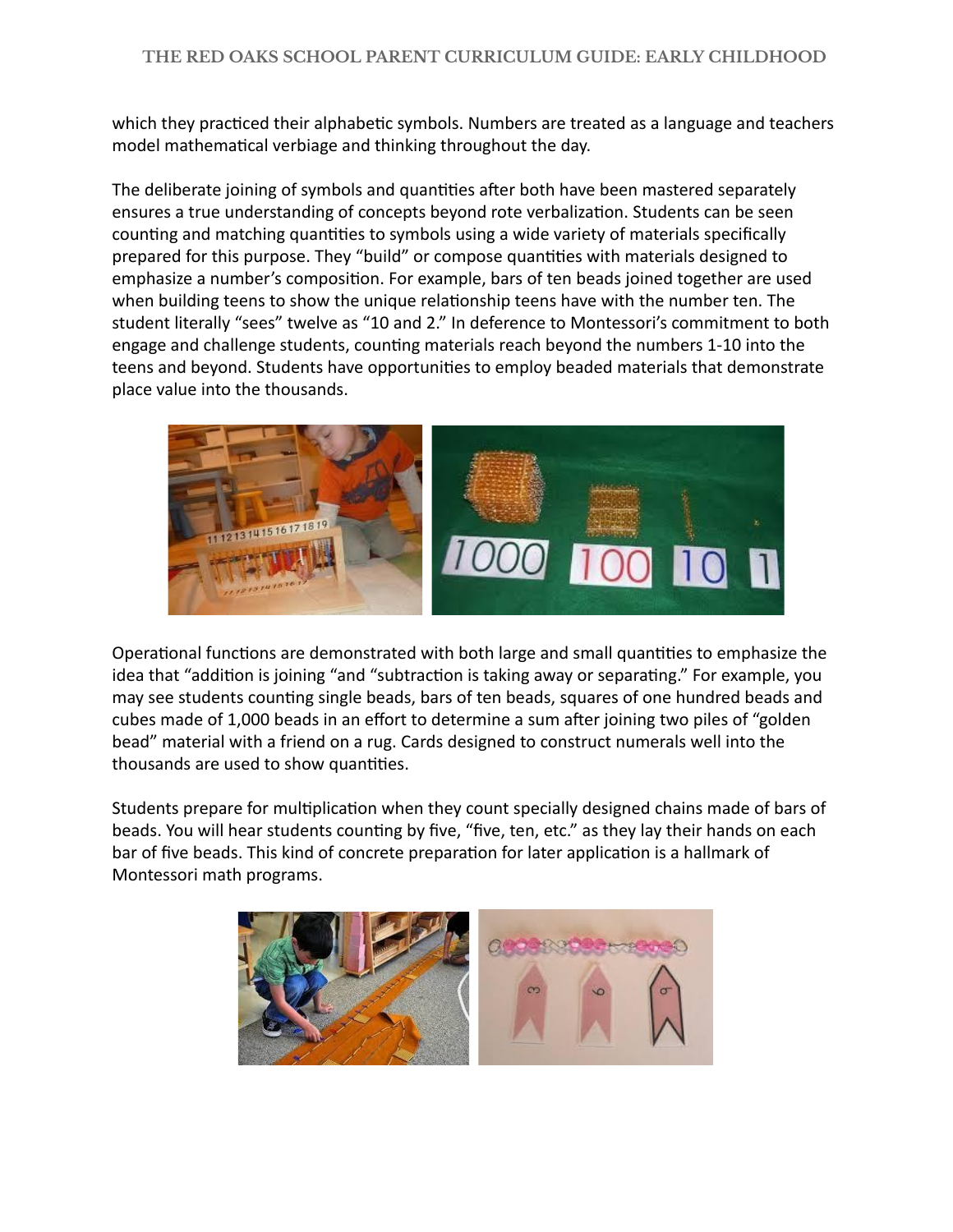which they practiced their alphabetic symbols. Numbers are treated as a language and teachers model mathematical verbiage and thinking throughout the day.

The deliberate joining of symbols and quantities after both have been mastered separately ensures a true understanding of concepts beyond rote verbalization. Students can be seen counting and matching quantities to symbols using a wide variety of materials specifically prepared for this purpose. They "build" or compose quantities with materials designed to emphasize a number's composition. For example, bars of ten beads joined together are used when building teens to show the unique relationship teens have with the number ten. The student literally "sees" twelve as "10 and 2." In deference to Montessori's commitment to both engage and challenge students, counting materials reach beyond the numbers 1-10 into the teens and beyond. Students have opportunities to employ beaded materials that demonstrate place value into the thousands.



Operational functions are demonstrated with both large and small quantities to emphasize the idea that "addition is joining "and "subtraction is taking away or separating." For example, you may see students counting single beads, bars of ten beads, squares of one hundred beads and cubes made of 1,000 beads in an effort to determine a sum after joining two piles of "golden" bead" material with a friend on a rug. Cards designed to construct numerals well into the thousands are used to show quantities.

Students prepare for multiplication when they count specially designed chains made of bars of beads. You will hear students counting by five, "five, ten, etc." as they lay their hands on each bar of five beads. This kind of concrete preparation for later application is a hallmark of Montessori math programs.

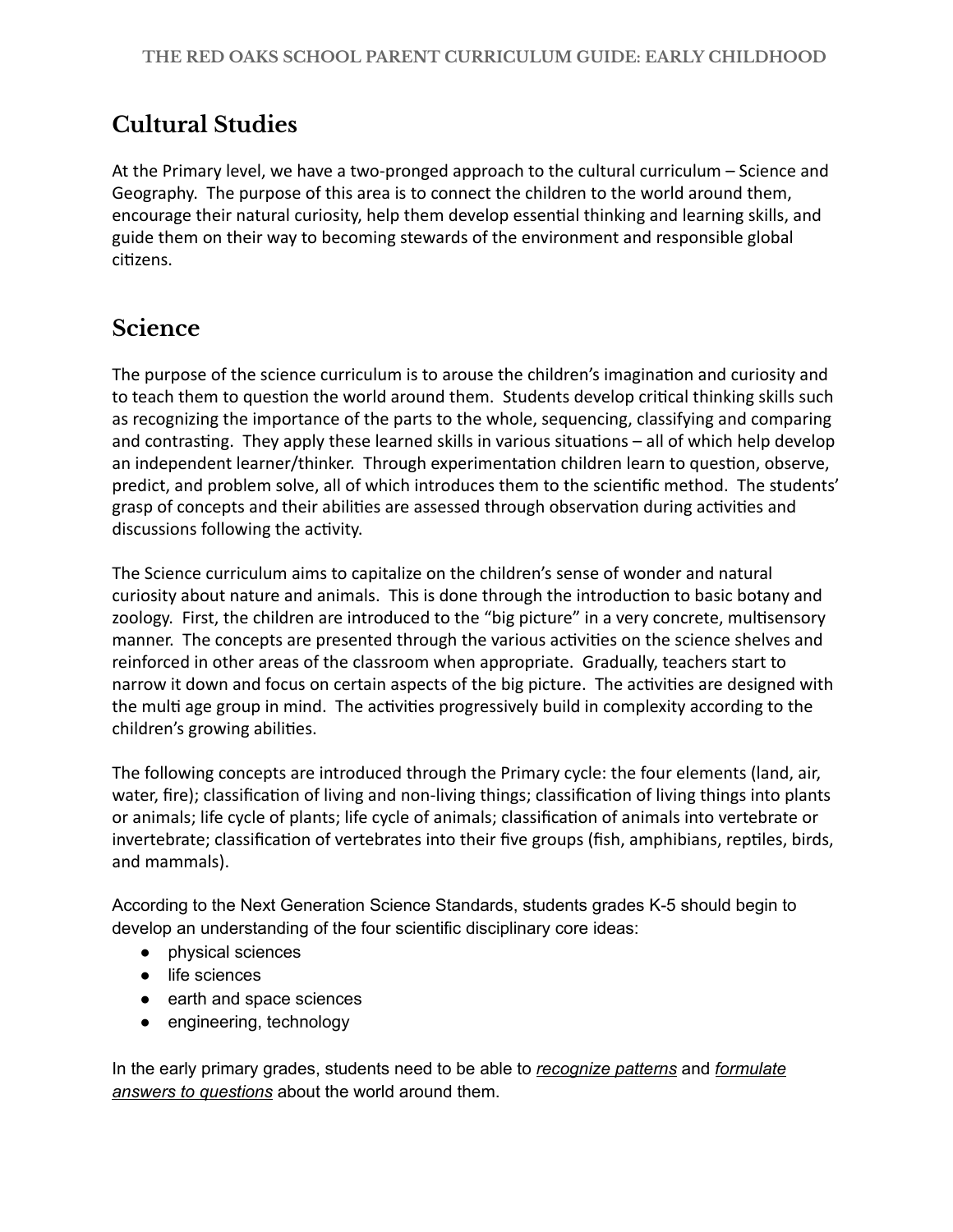## **Cultural Studies**

At the Primary level, we have a two-pronged approach to the cultural curriculum – Science and Geography. The purpose of this area is to connect the children to the world around them, encourage their natural curiosity, help them develop essential thinking and learning skills, and guide them on their way to becoming stewards of the environment and responsible global citizens.

## **Science**

The purpose of the science curriculum is to arouse the children's imagination and curiosity and to teach them to question the world around them. Students develop critical thinking skills such as recognizing the importance of the parts to the whole, sequencing, classifying and comparing and contrasting. They apply these learned skills in various situations  $-$  all of which help develop an independent learner/thinker. Through experimentation children learn to question, observe, predict, and problem solve, all of which introduces them to the scienfic method. The students' grasp of concepts and their abilities are assessed through observation during activities and discussions following the activity.

The Science curriculum aims to capitalize on the children's sense of wonder and natural curiosity about nature and animals. This is done through the introduction to basic botany and zoology. First, the children are introduced to the "big picture" in a very concrete, multisensory manner. The concepts are presented through the various activities on the science shelves and reinforced in other areas of the classroom when appropriate. Gradually, teachers start to narrow it down and focus on certain aspects of the big picture. The activities are designed with the multi age group in mind. The activities progressively build in complexity according to the children's growing abilities.

The following concepts are introduced through the Primary cycle: the four elements (land, air, water, fire); classification of living and non-living things; classification of living things into plants or animals; life cycle of plants; life cycle of animals; classification of animals into vertebrate or invertebrate; classification of vertebrates into their five groups (fish, amphibians, reptiles, birds, and mammals).

According to the Next Generation Science Standards, students grades K-5 should begin to develop an understanding of the four scientific disciplinary core ideas:

- physical sciences
- life sciences
- earth and space sciences
- engineering, technology

In the early primary grades, students need to be able to *recognize patterns* and *formulate answers to questions* about the world around them.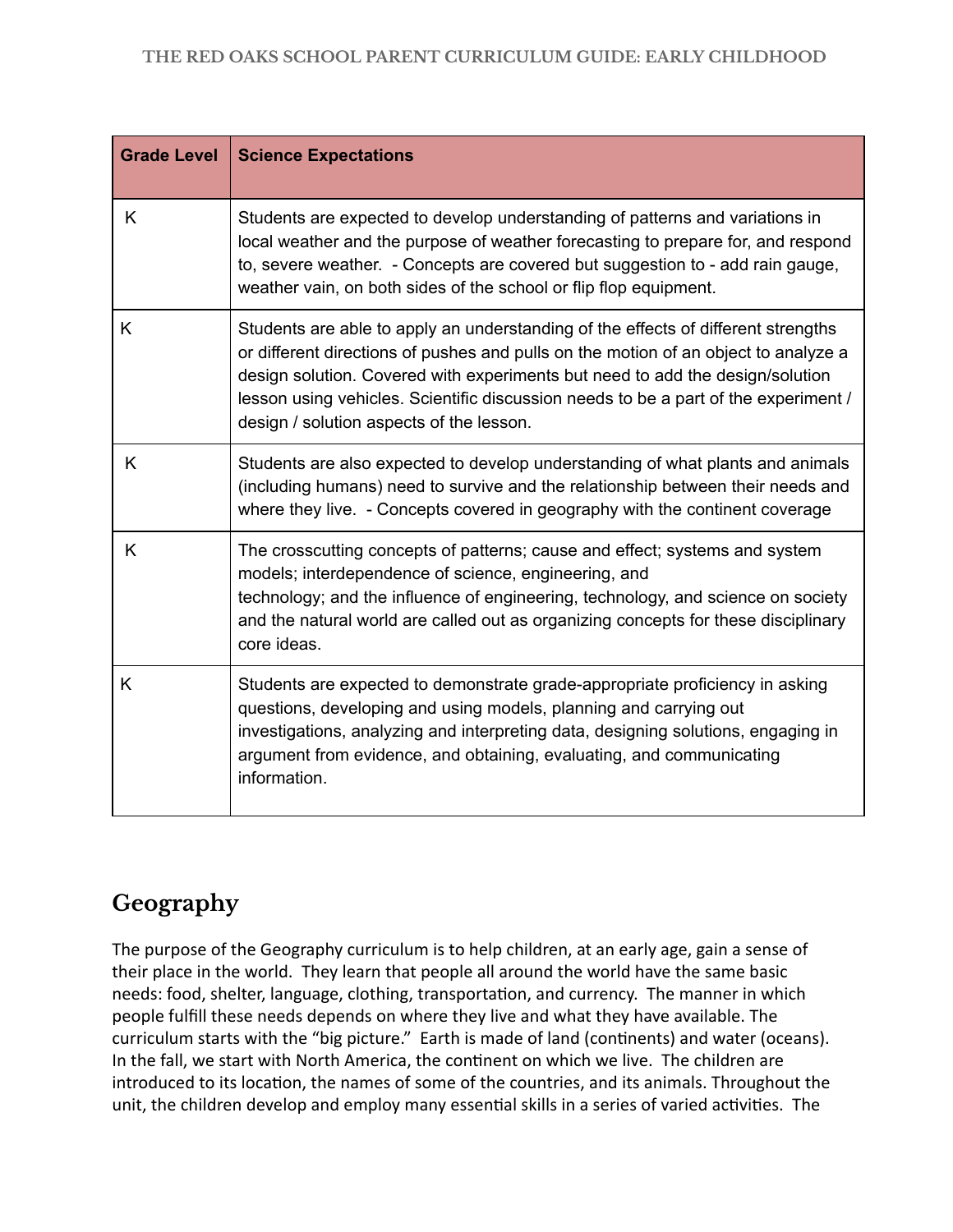| <b>Grade Level</b> | <b>Science Expectations</b>                                                                                                                                                                                                                                                                                                                                                                  |
|--------------------|----------------------------------------------------------------------------------------------------------------------------------------------------------------------------------------------------------------------------------------------------------------------------------------------------------------------------------------------------------------------------------------------|
| K                  | Students are expected to develop understanding of patterns and variations in<br>local weather and the purpose of weather forecasting to prepare for, and respond<br>to, severe weather. - Concepts are covered but suggestion to - add rain gauge,<br>weather vain, on both sides of the school or flip flop equipment.                                                                      |
| K                  | Students are able to apply an understanding of the effects of different strengths<br>or different directions of pushes and pulls on the motion of an object to analyze a<br>design solution. Covered with experiments but need to add the design/solution<br>lesson using vehicles. Scientific discussion needs to be a part of the experiment /<br>design / solution aspects of the lesson. |
| K                  | Students are also expected to develop understanding of what plants and animals<br>(including humans) need to survive and the relationship between their needs and<br>where they live. - Concepts covered in geography with the continent coverage                                                                                                                                            |
| K                  | The crosscutting concepts of patterns; cause and effect; systems and system<br>models; interdependence of science, engineering, and<br>technology; and the influence of engineering, technology, and science on society<br>and the natural world are called out as organizing concepts for these disciplinary<br>core ideas.                                                                 |
| K                  | Students are expected to demonstrate grade-appropriate proficiency in asking<br>questions, developing and using models, planning and carrying out<br>investigations, analyzing and interpreting data, designing solutions, engaging in<br>argument from evidence, and obtaining, evaluating, and communicating<br>information.                                                               |

## **Geography**

The purpose of the Geography curriculum is to help children, at an early age, gain a sense of their place in the world. They learn that people all around the world have the same basic needs: food, shelter, language, clothing, transportation, and currency. The manner in which people fulfill these needs depends on where they live and what they have available. The curriculum starts with the "big picture." Earth is made of land (continents) and water (oceans). In the fall, we start with North America, the continent on which we live. The children are introduced to its location, the names of some of the countries, and its animals. Throughout the unit, the children develop and employ many essential skills in a series of varied activities. The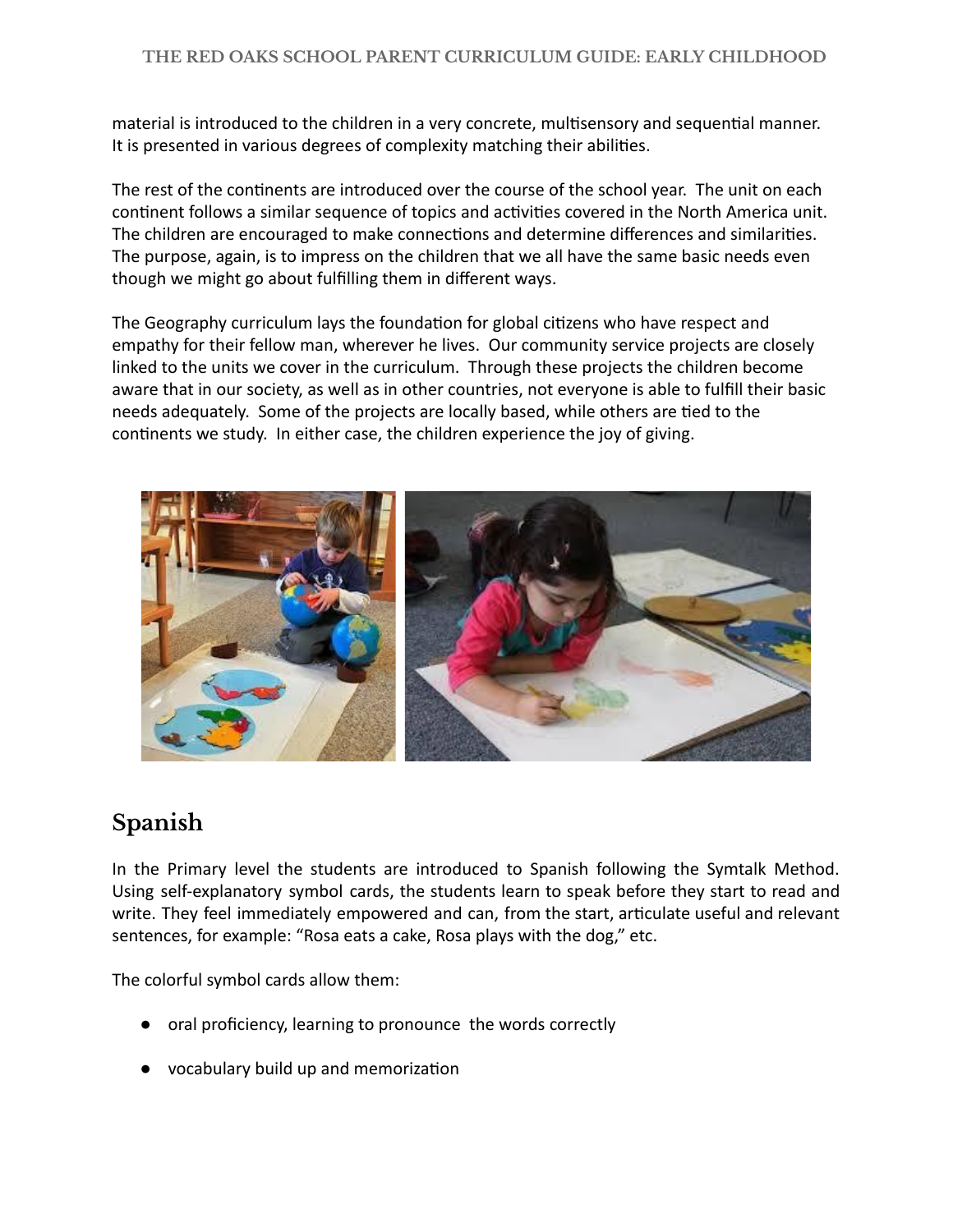material is introduced to the children in a very concrete, multisensory and sequential manner. It is presented in various degrees of complexity matching their abilities.

The rest of the continents are introduced over the course of the school year. The unit on each continent follows a similar sequence of topics and activities covered in the North America unit. The children are encouraged to make connections and determine differences and similarities. The purpose, again, is to impress on the children that we all have the same basic needs even though we might go about fulfilling them in different ways.

The Geography curriculum lays the foundation for global citizens who have respect and empathy for their fellow man, wherever he lives. Our community service projects are closely linked to the units we cover in the curriculum. Through these projects the children become aware that in our society, as well as in other countries, not everyone is able to fulfill their basic needs adequately. Some of the projects are locally based, while others are tied to the continents we study. In either case, the children experience the joy of giving.



## **Spanish**

In the Primary level the students are introduced to Spanish following the Symtalk Method. Using self-explanatory symbol cards, the students learn to speak before they start to read and write. They feel immediately empowered and can, from the start, articulate useful and relevant sentences, for example: "Rosa eats a cake, Rosa plays with the dog," etc.

The colorful symbol cards allow them:

- oral proficiency, learning to pronounce the words correctly
- vocabulary build up and memorization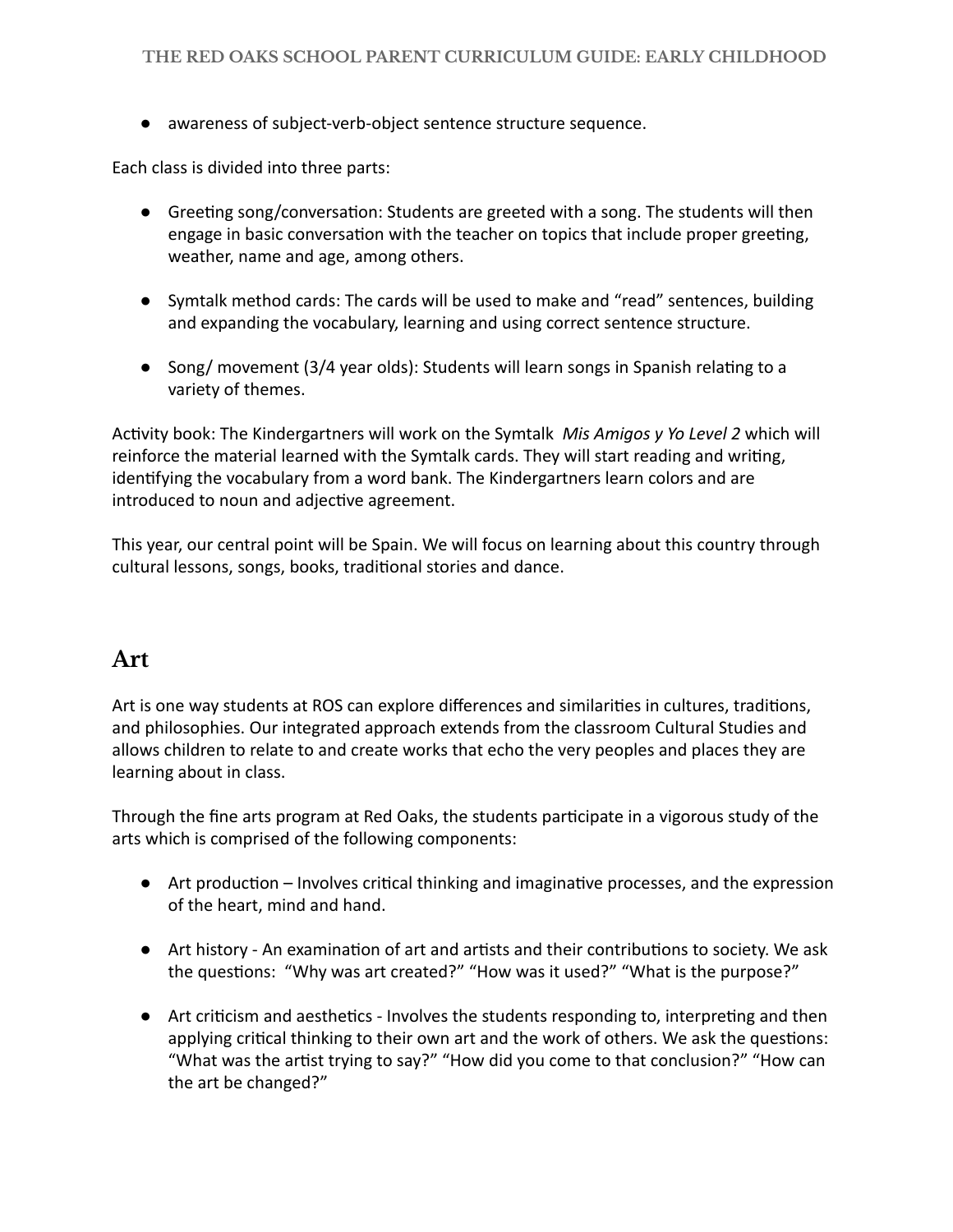● awareness of subject-verb-object sentence structure sequence.

Each class is divided into three parts:

- Greeting song/conversation: Students are greeted with a song. The students will then engage in basic conversation with the teacher on topics that include proper greeting, weather, name and age, among others.
- Symtalk method cards: The cards will be used to make and "read" sentences, building and expanding the vocabulary, learning and using correct sentence structure.
- Song/ movement (3/4 year olds): Students will learn songs in Spanish relating to a variety of themes.

Activity book: The Kindergartners will work on the Symtalk *Mis Amigos y Yo Level 2* which will reinforce the material learned with the Symtalk cards. They will start reading and writing, identifying the vocabulary from a word bank. The Kindergartners learn colors and are introduced to noun and adjective agreement.

This year, our central point will be Spain. We will focus on learning about this country through cultural lessons, songs, books, traditional stories and dance.

#### **Art**

Art is one way students at ROS can explore differences and similarities in cultures, traditions, and philosophies. Our integrated approach extends from the classroom Cultural Studies and allows children to relate to and create works that echo the very peoples and places they are learning about in class.

Through the fine arts program at Red Oaks, the students participate in a vigorous study of the arts which is comprised of the following components:

- $\bullet$  Art production Involves critical thinking and imaginative processes, and the expression of the heart, mind and hand.
- Art history An examination of art and artists and their contributions to society. We ask the questions: "Why was art created?" "How was it used?" "What is the purpose?"
- Art criticism and aesthetics Involves the students responding to, interpreting and then applying critical thinking to their own art and the work of others. We ask the questions: "What was the artist trying to say?" "How did you come to that conclusion?" "How can the art be changed?"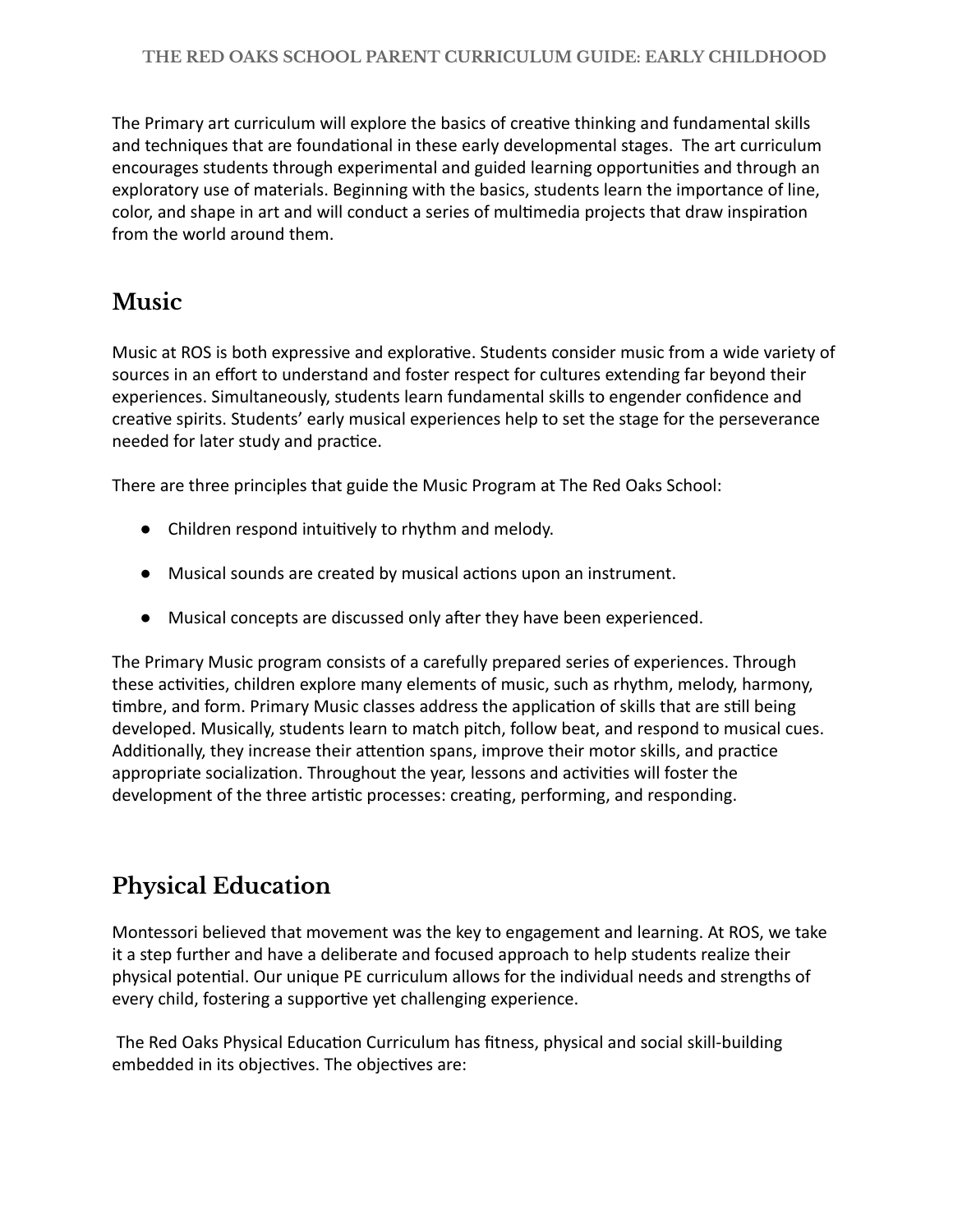The Primary art curriculum will explore the basics of creative thinking and fundamental skills and techniques that are foundational in these early developmental stages. The art curriculum encourages students through experimental and guided learning opportunities and through an exploratory use of materials. Beginning with the basics, students learn the importance of line, color, and shape in art and will conduct a series of multimedia projects that draw inspiration from the world around them.

#### **Music**

Music at ROS is both expressive and explorative. Students consider music from a wide variety of sources in an effort to understand and foster respect for cultures extending far beyond their experiences. Simultaneously, students learn fundamental skills to engender confidence and creative spirits. Students' early musical experiences help to set the stage for the perseverance needed for later study and practice.

There are three principles that guide the Music Program at The Red Oaks School:

- Children respond intuively to rhythm and melody.
- Musical sounds are created by musical actions upon an instrument.
- Musical concepts are discussed only after they have been experienced.

The Primary Music program consists of a carefully prepared series of experiences. Through these activities, children explore many elements of music, such as rhythm, melody, harmony, timbre, and form. Primary Music classes address the application of skills that are still being developed. Musically, students learn to match pitch, follow beat, and respond to musical cues. Additionally, they increase their attention spans, improve their motor skills, and practice appropriate socialization. Throughout the year, lessons and activities will foster the development of the three artistic processes: creating, performing, and responding.

## **Physical Education**

Montessori believed that movement was the key to engagement and learning. At ROS, we take it a step further and have a deliberate and focused approach to help students realize their physical potenal. Our unique PE curriculum allows for the individual needs and strengths of every child, fostering a supportive yet challenging experience.

The Red Oaks Physical Education Curriculum has fitness, physical and social skill-building embedded in its objectives. The objectives are: